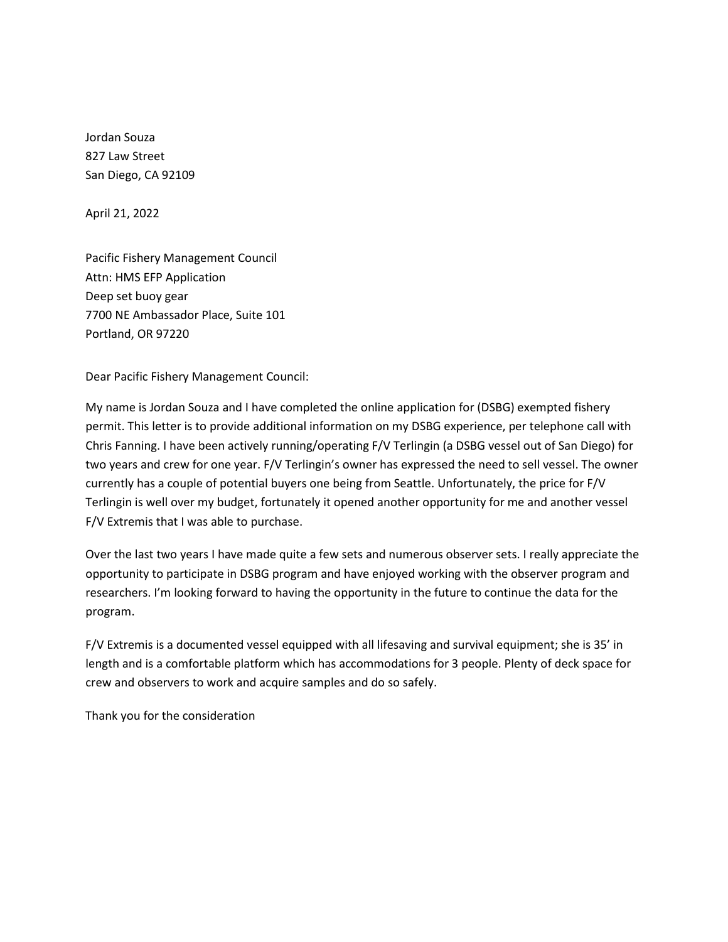Agenda Item G.3 Attachment 1 June 2022

Jordan Souza 827 Law Street San Diego, CA 92109

April 21, 2022

Pacific Fishery Management Council Attn: HMS EFP Application Deep set buoy gear 7700 NE Ambassador Place, Suite 101 Portland, OR 97220

Dear Pacific Fishery Management Council:

My name is Jordan Souza and I have completed the online application for (DSBG) exempted fishery permit. This letter is to provide additional information on my DSBG experience, per telephone call with Chris Fanning. I have been actively running/operating F/V Terlingin (a DSBG vessel out of San Diego) for two years and crew for one year. F/V Terlingin's owner has expressed the need to sell vessel. The owner currently has a couple of potential buyers one being from Seattle. Unfortunately, the price for F/V Terlingin is well over my budget, fortunately it opened another opportunity for me and another vessel F/V Extremis that I was able to purchase.

Over the last two years I have made quite a few sets and numerous observer sets. I really appreciate the opportunity to participate in DSBG program and have enjoyed working with the observer program and researchers. I'm looking forward to having the opportunity in the future to continue the data for the program.

F/V Extremis is a documented vessel equipped with all lifesaving and survival equipment; she is 35' in length and is a comfortable platform which has accommodations for 3 people. Plenty of deck space for crew and observers to work and acquire samples and do so safely.

Thank you for the consideration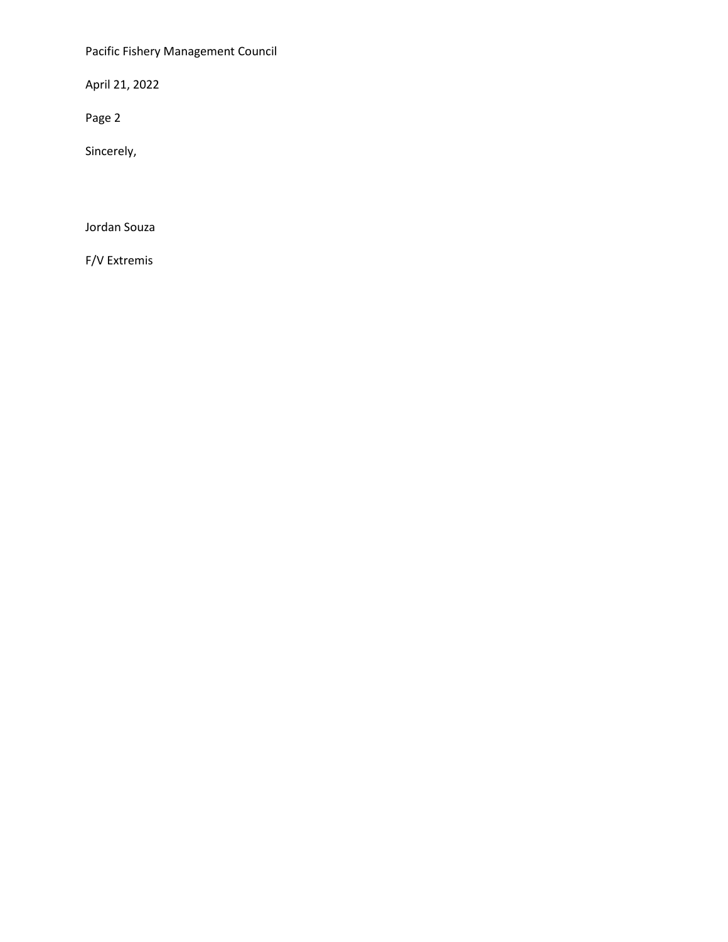Pacific Fishery Management Council

April 21, 2022

Page 2

Sincerely,

Jordan Souza

F/V Extremis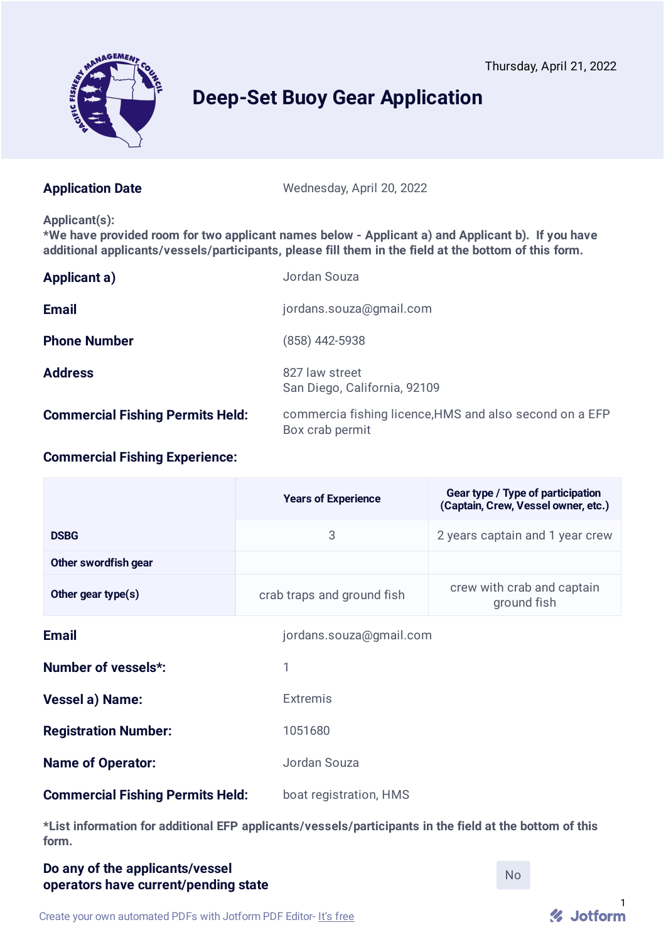Thursday, April 21, 2022



# **Deep-Set Buoy Gear Application**

**Application Date** Wednesday, April 20, 2022

#### **Applicant(s):**

**\*We have provided room for two applicant names below - Applicant a) and Applicant b). If you have additional applicants/vessels/participants, please fill them in the field at the bottom of this form.**

| Applicant a)                            | Jordan Souza                                                               |
|-----------------------------------------|----------------------------------------------------------------------------|
| <b>Email</b>                            | jordans.souza@gmail.com                                                    |
| <b>Phone Number</b>                     | (858) 442-5938                                                             |
| <b>Address</b>                          | 827 law street<br>San Diego, California, 92109                             |
| <b>Commercial Fishing Permits Held:</b> | commercia fishing licence, HMS and also second on a EFP<br>Box crab permit |

# **Commercial Fishing Experience:**

|                                         | <b>Years of Experience</b> | Gear type / Type of participation<br>(Captain, Crew, Vessel owner, etc.) |
|-----------------------------------------|----------------------------|--------------------------------------------------------------------------|
| <b>DSBG</b>                             | 3                          | 2 years captain and 1 year crew                                          |
| Other swordfish gear                    |                            |                                                                          |
| Other gear type $(s)$                   | crab traps and ground fish | crew with crab and captain<br>ground fish                                |
| <b>Email</b>                            | jordans.souza@gmail.com    |                                                                          |
| Number of vessels*:                     | 1                          |                                                                          |
| Vessel a) Name:                         | <b>Extremis</b>            |                                                                          |
| <b>Registration Number:</b>             | 1051680                    |                                                                          |
| <b>Name of Operator:</b>                | Jordan Souza               |                                                                          |
| <b>Commercial Fishing Permits Held:</b> | boat registration, HMS     |                                                                          |

**\*List information for additional EFP applicants/vessels/participants in the field at the bottom of this form.**

# **Do any of the applicants/vessel operators have current/pending state**

No

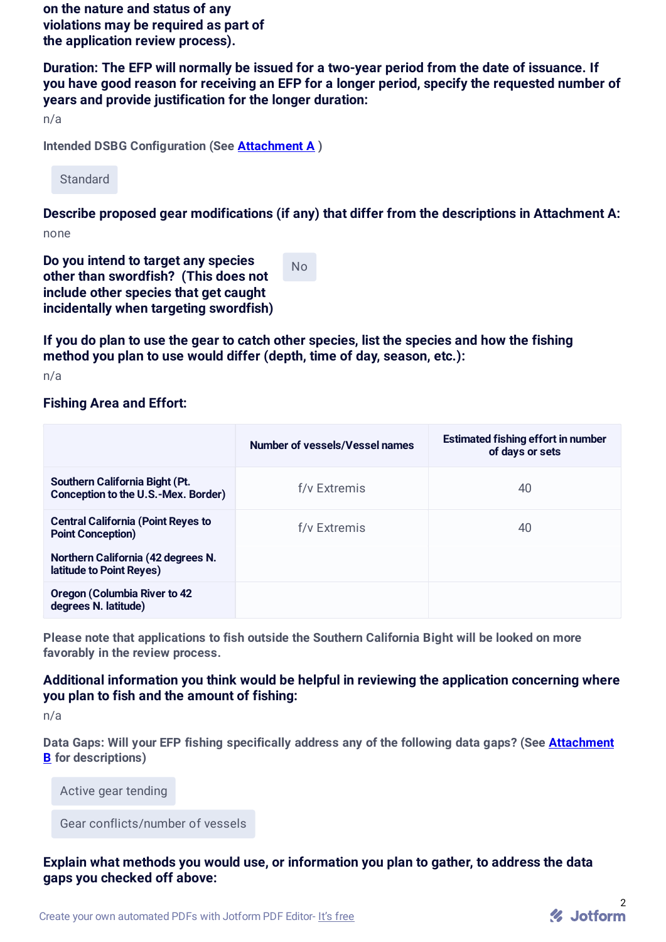**on the nature and status of any violations may be required as part of the application review process).**

**Duration: The EFP will normally be issued for a two-year period from the date of issuance. If you have good reason for receiving an EFP for a longer period, specify the requested number of years and provide justification for the longer duration:**

n/a

**Intended DSBG Configuration (See Attachment A )**

**Standard** 

**Describe proposed gear modifications (if any) that differ from the descriptions in Attachment A:** none

**Do you intend to target any species other than swordfish? (This does not include other species that get caught incidentally when targeting swordfish)**

No

**If you do plan to use the gear to catch other species, list the species and how the fishing method you plan to use would differ (depth, time of day, season, etc.):**

n/a

#### **Fishing Area and Effort:**

|                                                                       | Number of vessels/Vessel names | <b>Estimated fishing effort in number</b><br>of days or sets |
|-----------------------------------------------------------------------|--------------------------------|--------------------------------------------------------------|
| Southern California Bight (Pt.<br>Conception to the U.S.-Mex. Border) | f/y Extremis                   | 40                                                           |
| <b>Central California (Point Reyes to</b><br><b>Point Conception)</b> | f/v Extremis                   | 40                                                           |
| Northern California (42 degrees N.<br>latitude to Point Reyes)        |                                |                                                              |
| <b>Oregon (Columbia River to 42</b><br>degrees N. latitude)           |                                |                                                              |

**Please note that applications to fish outside the Southern California Bight will be looked on more favorably in the review process.**

# **Additional information you think would be helpful in reviewing the application concerning where you plan to fish and the amount of fishing:**

n/a

**Data Gaps: Will your EFP fishing specifically address any of the following data gaps? (See Attachment B for descriptions)**

Active gear tending

Gear conflicts/number of vessels

### **Explain what methods you would use, or information you plan to gather, to address the data gaps you checked off above:**